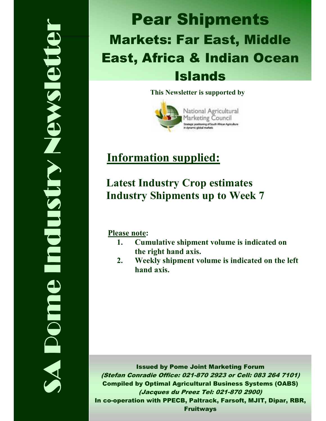# SA Pome Industry Newsletter **Nelson Strews Redui Domne**

# Pear Shipments Markets: Far East, Middle East, Africa & Indian Ocean Islands

### This Newsletter is supported by



# Information supplied:

# Latest Industry Crop estimates Industry Shipments up to Week 7

Please note:

- 1. Cumulative shipment volume is indicated on the right hand axis.
- 2. Weekly shipment volume is indicated on the left hand axis.

Issued by Pome Joint Marketing Forum (Stefan Conradie Office: 021-870 2923 or Cell: 083 264 7101) Compiled by Optimal Agricultural Business Systems (OABS) (Jacques du Preez Tel: 021-870 2900) In co-operation with PPECB, Paltrack, Farsoft, MJIT, Dipar, RBR, Fruitways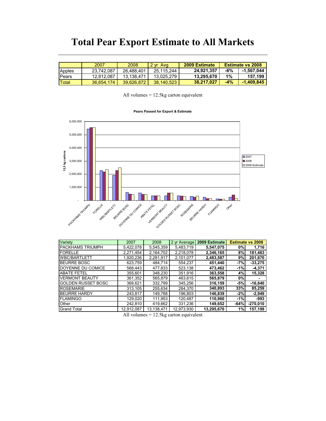## Total Pear Export Estimate to All Markets

|               | 2007       | 2008       | l 2 vr Ava | 2009 Estimate |       | <b>Estimate vs 2008</b> |
|---------------|------------|------------|------------|---------------|-------|-------------------------|
| Apples        | 23.742.087 | 26.488.401 | 25.115.244 | 24.921.357    | -6%   | $-1.567.044$            |
| <b>IPears</b> | 12.912.087 | 13.138.471 | 13.025.279 | 13.295.670    | 1%    | 157.199                 |
| <b>Total</b>  | 36.654.174 | 39.626.872 | 38.140.523 | 38.217.027    | $-4%$ | $-1,409,845$            |

All volumes = 12.5kg carton equivalent

### Pears Passed for Export & Estimate



| Variety                   | 2007       | 2008       | 2 yr Average | 2009 Estimate |        | <b>Estimate vs 2008</b> |
|---------------------------|------------|------------|--------------|---------------|--------|-------------------------|
| <b>PACKHAMS TRIUMPH</b>   | 5,422,078  | 5,545,359  | 5,483,719    | 5,547,075     | 0%     | 1,716                   |
| <b>FORELLE</b>            | 2.271.454  | 2.164.702  | 2,218,078    | 2,346,165     | 8%     | 181,463                 |
| <b>WBC/BARTLETT</b>       | 1,920,236  | 2,281,917  | 2,101,077    | 2,483,587     | 9%     | 201,670                 |
| <b>BEURRE BOSC</b>        | 623.759    | 484,714    | 554.237      | 451,440       | $-7%$  | $-33.275$               |
| DOYENNE DU COMICE         | 568,443    | 477,833    | 523,138      | 473.462       | $-1%$  | $-4,371$                |
| <b>ABATE FETEL</b>        | 355.601    | 348.230    | 351,916      | 363,558       | 4%     | 15,328                  |
| <b>VERMONT BEAUTY</b>     | 361,352    | 565,879    | 463,615      | 565,879       | 0%     |                         |
| <b>GOLDEN RUSSET BOSC</b> | 369,621    | 332,799    | 345.256      | 316,159       | $-5%$  | $-16,640$               |
| <b>ROSEMARIE</b>          | 313.105    | 255.634    | 284.370      | 340,893       | 33%    | 85,259                  |
| <b>BEURRE HARDY</b>       | 243,817    | 149.788    | 196,803      | 146,839       | $-2%$  | $-2,949$                |
| <b>FLAMINGO</b>           | 129.020    | 111.953    | 120.487      | 110,960       | $-1%$  | $-993$                  |
| Other                     | 242.810    | 419.662    | 331.236      | 149.652       | $-64%$ | $-270,010$              |
| <b>Grand Total</b>        | 12,912,087 | 13,138,471 | 12,973,930   | 13,295,670    | 1%     | 157,199                 |

All volumes = 12.5kg carton equivalent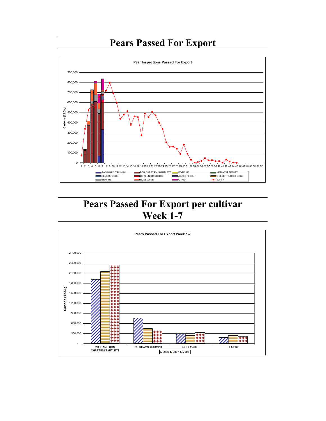# Pears Passed For Export



# Pears Passed For Export per cultivar Week 1-7

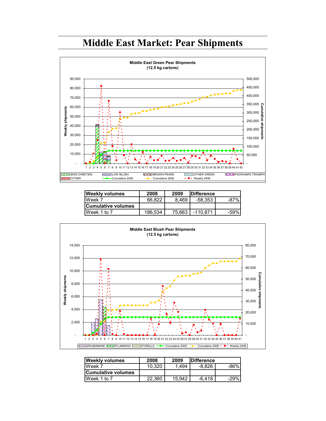# Middle East Market: Pear Shipments



| <b>Weekly volumes</b>     | 2008    | 2009   | <b>IDifference</b> |        |
|---------------------------|---------|--------|--------------------|--------|
| Week 7                    | 66.822  | 8.469  | -58.353            | -87%   |
| <b>Cumulative volumes</b> |         |        |                    |        |
| Week 1 to 7               | 186.534 | 75.663 | $-110.871$         | $-59%$ |



| <b>Weekly volumes</b>     | 2008   | 2009   | <b>IDifference</b> |        |
|---------------------------|--------|--------|--------------------|--------|
| Week 7                    | 10.320 | 1.494  | $-8.826$           | -86%   |
| <b>Cumulative volumes</b> |        |        |                    |        |
| Week 1 to 7               | 22.360 | 15.942 | $-6.418$           | $-29%$ |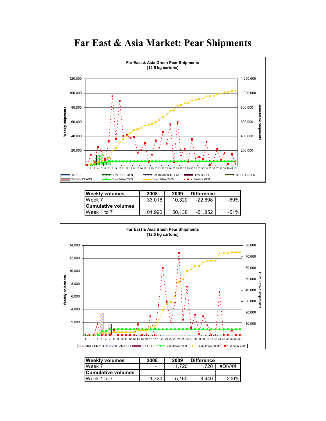# Far East & Asia Market: Pear Shipments



| <b>Weekly volumes</b>      | 2008    | 2009   | <b>IDifference</b> |        |
|----------------------------|---------|--------|--------------------|--------|
| Week 7                     | 33.018  | 10.320 | $-22.698$          | -69%   |
| <b>ICumulative volumes</b> |         |        |                    |        |
| Week 1 to 7                | 101.990 | 50.138 | $-51.852$          | $-51%$ |



| <b>Weekly volumes</b>     | 2008  | 2009  | <b>IDifference</b> |                  |
|---------------------------|-------|-------|--------------------|------------------|
| Week 7                    | -     | 1.720 | .720               | #DIV/0!          |
| <b>Cumulative volumes</b> |       |       |                    |                  |
| Week 1 to 7               | 1.720 | 5.160 | 3.440              | 200 <sup>%</sup> |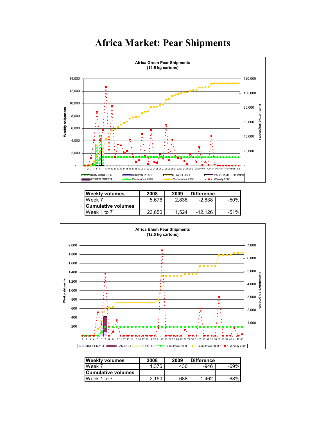



| <b>Weekly volumes</b>     | 2008   | 2009   | <b>IDifference</b> |        |
|---------------------------|--------|--------|--------------------|--------|
| Week 7                    | 5.676  | 2.838  | $-2.838$           | -50%   |
| <b>Cumulative volumes</b> |        |        |                    |        |
| Week 1 to 7               | 23.650 | 11.524 | $-12.126$          | $-51%$ |



| <b>Weekly volumes</b> | 2008  | 2009 | <b>IDifference</b> |      |
|-----------------------|-------|------|--------------------|------|
| Week 7                | 1.376 | 430  | -946               | -69% |
| lCumulative volumes   |       |      |                    |      |
| Week 1 to 7           | 2.150 | 688  | $-1.462$           | -68% |